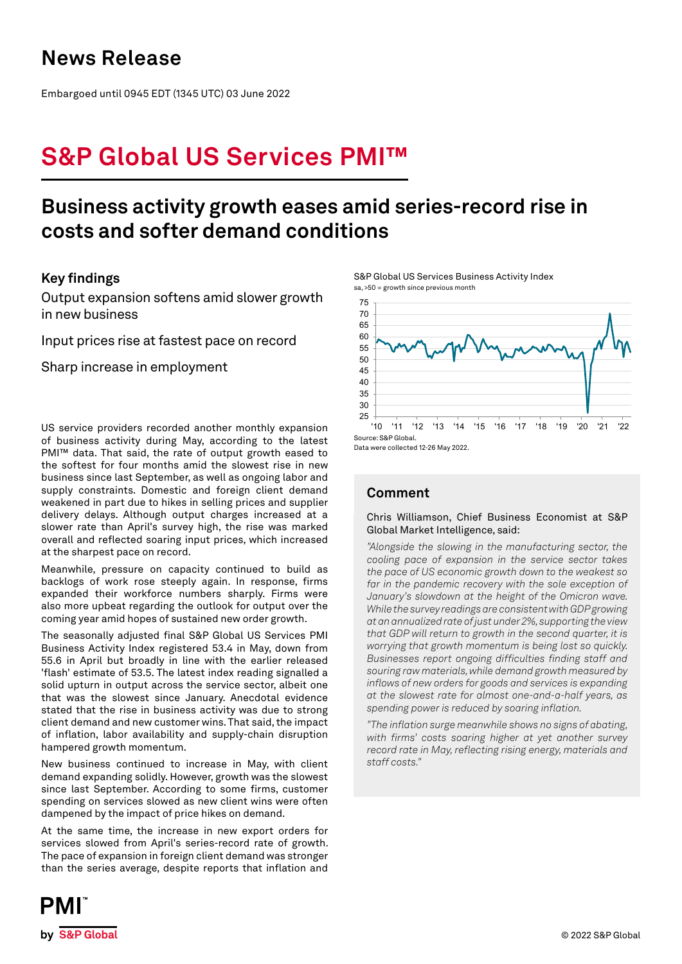### **News Release**

Embargoed until 0945 EDT (1345 UTC) 03 June 2022

# **S&P Global US Services PMI™**

### **Business activity growth eases amid series-record rise in costs and softer demand conditions**

### **Key findings**

Output expansion softens amid slower growth in new business

Input prices rise at fastest pace on record

Sharp increase in employment

US service providers recorded another monthly expansion of business activity during May, according to the latest PMI™ data. That said, the rate of output growth eased to the softest for four months amid the slowest rise in new business since last September, as well as ongoing labor and supply constraints. Domestic and foreign client demand weakened in part due to hikes in selling prices and supplier delivery delays. Although output charges increased at a slower rate than April's survey high, the rise was marked overall and reflected soaring input prices, which increased at the sharpest pace on record.

Meanwhile, pressure on capacity continued to build as backlogs of work rose steeply again. In response, firms expanded their workforce numbers sharply. Firms were also more upbeat regarding the outlook for output over the coming year amid hopes of sustained new order growth.

The seasonally adjusted final S&P Global US Services PMI Business Activity Index registered 53.4 in May, down from 55.6 in April but broadly in line with the earlier released 'flash' estimate of 53.5. The latest index reading signalled a solid upturn in output across the service sector, albeit one that was the slowest since January. Anecdotal evidence stated that the rise in business activity was due to strong client demand and new customer wins. That said, the impact of inflation, labor availability and supply-chain disruption hampered growth momentum.

New business continued to increase in May, with client demand expanding solidly. However, growth was the slowest since last September. According to some firms, customer spending on services slowed as new client wins were often dampened by the impact of price hikes on demand.

At the same time, the increase in new export orders for services slowed from April's series-record rate of growth. The pace of expansion in foreign client demand was stronger than the series average, despite reports that inflation and

S&P Global US Services Business Activity Index sa, >50 = growth since previous month



Data were collected 12-26 May 2022.

### **Comment**

### Chris Williamson, Chief Business Economist at S&P Global Market Intelligence, said:

*"Alongside the slowing in the manufacturing sector, the cooling pace of expansion in the service sector takes the pace of US economic growth down to the weakest so*  far in the pandemic recovery with the sole exception of *January's slowdown at the height of the Omicron wave. While the survey readings are consistent with GDP growing at an annualized rate of just under 2%, supporting the view that GDP will return to growth in the second quarter, it is worrying that growth momentum is being lost so quickly. Businesses report ongoing difficulties finding staff and souring raw materials, while demand growth measured by inflows of new orders for goods and services is expanding at the slowest rate for almost one-and-a-half years, as spending power is reduced by soaring inflation.* 

*"The inflation surge meanwhile shows no signs of abating, with firms' costs soaring higher at yet another survey record rate in May, reflecting rising energy, materials and staff costs."*

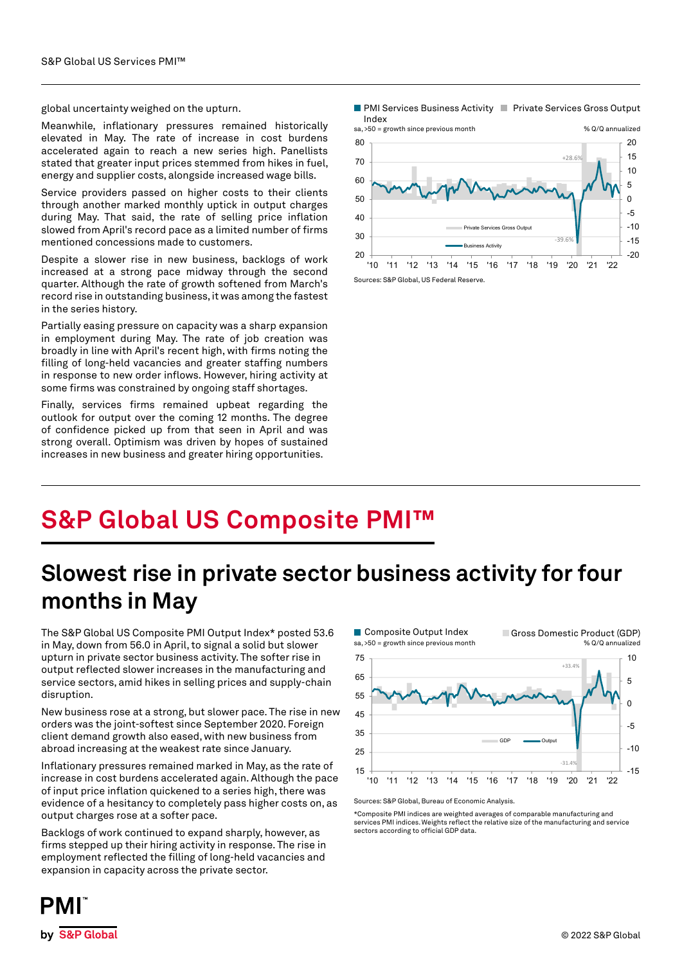global uncertainty weighed on the upturn.

Meanwhile, inflationary pressures remained historically elevated in May. The rate of increase in cost burdens accelerated again to reach a new series high. Panellists stated that greater input prices stemmed from hikes in fuel, energy and supplier costs, alongside increased wage bills.

Service providers passed on higher costs to their clients through another marked monthly uptick in output charges during May. That said, the rate of selling price inflation slowed from April's record pace as a limited number of firms mentioned concessions made to customers.

Despite a slower rise in new business, backlogs of work increased at a strong pace midway through the second quarter. Although the rate of growth softened from March's record rise in outstanding business, it was among the fastest in the series history.

Partially easing pressure on capacity was a sharp expansion in employment during May. The rate of job creation was broadly in line with April's recent high, with firms noting the filling of long-held vacancies and greater staffing numbers in response to new order inflows. However, hiring activity at some firms was constrained by ongoing staff shortages.

Finally, services firms remained upbeat regarding the outlook for output over the coming 12 months. The degree of confidence picked up from that seen in April and was strong overall. Optimism was driven by hopes of sustained increases in new business and greater hiring opportunities.





Sources: S&P Global, US Federal Reserve.

# **S&P Global US Composite PMI™**

## **Slowest rise in private sector business activity for four months in May**

The S&P Global US Composite PMI Output Index\* posted 53.6 in May, down from 56.0 in April, to signal a solid but slower upturn in private sector business activity. The softer rise in output reflected slower increases in the manufacturing and service sectors, amid hikes in selling prices and supply-chain disruption.

New business rose at a strong, but slower pace. The rise in new orders was the joint-softest since September 2020. Foreign client demand growth also eased, with new business from abroad increasing at the weakest rate since January.

Inflationary pressures remained marked in May, as the rate of increase in cost burdens accelerated again. Although the pace of input price inflation quickened to a series high, there was evidence of a hesitancy to completely pass higher costs on, as output charges rose at a softer pace.

Backlogs of work continued to expand sharply, however, as firms stepped up their hiring activity in response. The rise in employment reflected the filling of long-held vacancies and expansion in capacity across the private sector.



Sources: S&P Global, Bureau of Economic Analysis.

\*Composite PMI indices are weighted averages of comparable manufacturing and services PMI indices. Weights reflect the relative size of the manufacturing and service sectors according to official GDP data.